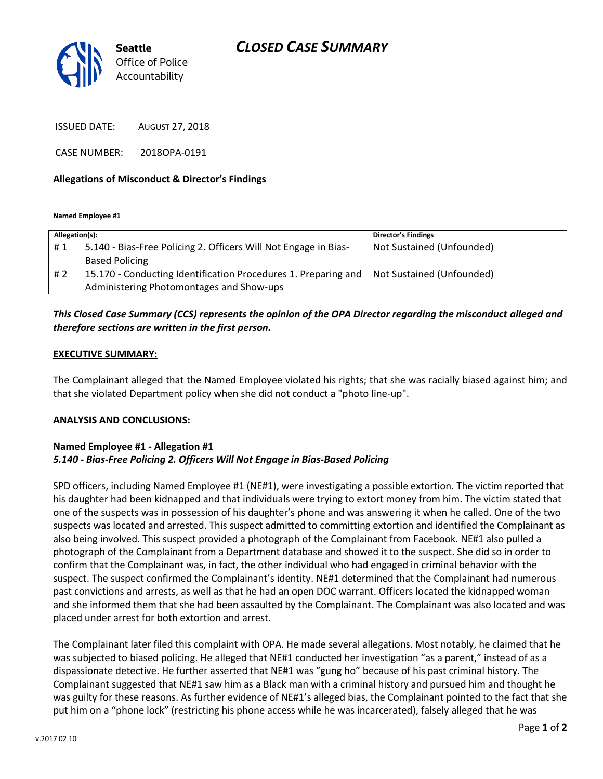## *CLOSED CASE SUMMARY*



ISSUED DATE: AUGUST 27, 2018

CASE NUMBER: 2018OPA-0191

#### **Allegations of Misconduct & Director's Findings**

**Named Employee #1**

| Allegation(s): |                                                                 | Director's Findings       |
|----------------|-----------------------------------------------------------------|---------------------------|
| #1             | 5.140 - Bias-Free Policing 2. Officers Will Not Engage in Bias- | Not Sustained (Unfounded) |
|                | <b>Based Policing</b>                                           |                           |
| # 2            | 15.170 - Conducting Identification Procedures 1. Preparing and  | Not Sustained (Unfounded) |
|                | Administering Photomontages and Show-ups                        |                           |

### *This Closed Case Summary (CCS) represents the opinion of the OPA Director regarding the misconduct alleged and therefore sections are written in the first person.*

#### **EXECUTIVE SUMMARY:**

The Complainant alleged that the Named Employee violated his rights; that she was racially biased against him; and that she violated Department policy when she did not conduct a "photo line-up".

#### **ANALYSIS AND CONCLUSIONS:**

#### **Named Employee #1 - Allegation #1** *5.140 - Bias-Free Policing 2. Officers Will Not Engage in Bias-Based Policing*

SPD officers, including Named Employee #1 (NE#1), were investigating a possible extortion. The victim reported that his daughter had been kidnapped and that individuals were trying to extort money from him. The victim stated that one of the suspects was in possession of his daughter's phone and was answering it when he called. One of the two suspects was located and arrested. This suspect admitted to committing extortion and identified the Complainant as also being involved. This suspect provided a photograph of the Complainant from Facebook. NE#1 also pulled a photograph of the Complainant from a Department database and showed it to the suspect. She did so in order to confirm that the Complainant was, in fact, the other individual who had engaged in criminal behavior with the suspect. The suspect confirmed the Complainant's identity. NE#1 determined that the Complainant had numerous past convictions and arrests, as well as that he had an open DOC warrant. Officers located the kidnapped woman and she informed them that she had been assaulted by the Complainant. The Complainant was also located and was placed under arrest for both extortion and arrest.

The Complainant later filed this complaint with OPA. He made several allegations. Most notably, he claimed that he was subjected to biased policing. He alleged that NE#1 conducted her investigation "as a parent," instead of as a dispassionate detective. He further asserted that NE#1 was "gung ho" because of his past criminal history. The Complainant suggested that NE#1 saw him as a Black man with a criminal history and pursued him and thought he was guilty for these reasons. As further evidence of NE#1's alleged bias, the Complainant pointed to the fact that she put him on a "phone lock" (restricting his phone access while he was incarcerated), falsely alleged that he was